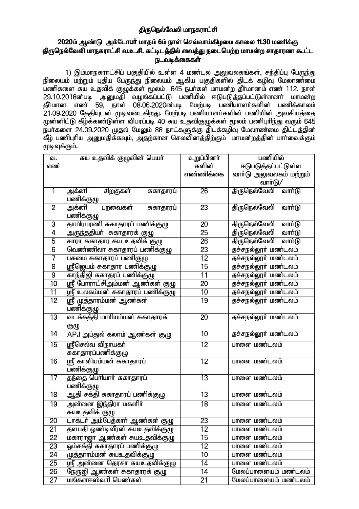# திருநெல்வேலி மாநகராட்சி

# 2020ம் ஆண்டு அக்டோபர் மாதம் 6ம் நாள் செவ்வாய்கிழமை காலை 11.30 மணிக்கு .<br>திருநெல்வேலி மாநகராட்சி வ.உ.சி. கட்டிடத்தில் வைத்து நடைபெற்ற மாமன்ற சாதாரண கூட்ட **௩௨௳௨௧ஂௐ௧**௬

1) இம்மாநகராட்சிப் பகுதியில் உள்ள 4 மண்டல அலுவலகங்கள், சந்திப்பு பேருந்து நிலையம் மற்றும் புதிய பேருந்து நிலையம் ஆகிய பகுதிகளில் திடக் கழிவு மேலாண்மை ் 29.10.2018ன்படி அனுமதி வழங்கப்பட்டு பணியில் ஈடுபடுத்தப்பட்டுள்ளனா் மாமன்ற<br>தீா்மான எண் 59, நாள் 08.06.2020ன்படி மேற்படி பணியாளா்களின் பணிக்காலம் 21.09.2020 தேதியுடன் முடிவடைகிறது. மேற்படி பணியாளர்களின் பணியின் அவசியத்தை முன்னிட்டு கீழ்க்கண்டுள்ள விபரப்படி 40 சுய உதவிகுழுக்கள் மூலம் பணிபுரிந்து வரும் 645 நபர்களை 24.09.2020 முதல் மேலும் 88 நாட்களுக்கு திடக்கழிவு மேலாண்மை திட்டத்தின் கீழ் பணிபுரிய அனுமதிக்கவும், அதற்கான செலவினத்திற்கும் மாமன்றத்தின் பார்வைக்கும் முடிவுக்கும்.

| வ.              | சுய உதவிக் குழுவின் பெயா்                | <u>உற</u> ுப்பினர் | பணியில்                         |  |
|-----------------|------------------------------------------|--------------------|---------------------------------|--|
| எண்             |                                          | களின்              | ஈடுபடுத்தப்பட்டுள்ள             |  |
|                 |                                          | எண்ணிக்கை          | வாா்டு அலுவலகம் மற்றும்         |  |
|                 |                                          |                    | வார்டு/                         |  |
| $\mathbf{1}$    | அக்னி<br>சிறகுகள்<br>சுகாதாரப்           | 26                 | திருநெல்வேலி<br>வார்டு          |  |
|                 | பணிக்குழு                                |                    |                                 |  |
| $\overline{2}$  | அக்னி<br>பறவைகள்<br>சுகாதாரப்            | 23                 | திருநெல்வேலி<br>வார்டு          |  |
|                 | பணிக்குழு                                |                    |                                 |  |
| 3               | தாமிரபரணி சுகாதாரப் பணிக்குழு            | 20                 | <u>திருநெல்வேலி</u><br>வார்டு   |  |
| 4               | அருந்ததியா் சுகாதாரக் குழு               | $\overline{25}$    | திருநெல்வேலி<br>வார்டு          |  |
| $\overline{5}$  | சாரா சுகாதார சுய உதவிக் குழு             | $\overline{26}$    | திருநெல்வேலி<br>வார்டு          |  |
| $\overline{6}$  | வெண்ணிலா சுகாதாரப் பணிக்குழு             | $\overline{23}$    | தச்சநல்லூா் மண்டலம்             |  |
| 7               | பசுமை சுகாதாரப் பணிகுழு                  | $\overline{12}$    | <del>தச்சநல்லூர் மண்</del> டலம் |  |
| 8               | ஸ்ரீஜெயம் சுகாதார பணிக்குழு              | $\overline{15}$    | தச்சநல்லூர் மண்டலம்             |  |
| $\overline{9}$  | காந்திஜி சுகாதரப் பணிக்குழு              | $\overline{11}$    | தச்சநல்லூர் மண்டலம்             |  |
| $\overline{10}$ | ஸ்ரீ போராட்சிஅம்மன் ஆண்கள் குழு          | $\overline{20}$    | தச்சநல்லூா் மண்டலம்             |  |
| 11              | <u>ஸ்ரீ உலகம்மன் சுகாதாரப் பணிக்குழு</u> | 10                 | <del>தச்சநல்லூர் மண்</del> டலம் |  |
| $\overline{12}$ | ஸ்ரீ முத்தாரம்மன் ஆண்கள்                 | $\overline{19}$    | தச்சநல்லூர் மண்டலம்             |  |
|                 | பணிக்குழு                                |                    |                                 |  |
| $\overline{13}$ | வடக்கத்தி மாரியம்மன் சுகாதாரக்           | 20                 | தச்சநல்லூர் மண்டலம்             |  |
|                 | குழு                                     |                    |                                 |  |
| $\overline{14}$ | APJ அப்துல் கலாம் ஆண்கள் குழு            | $\overline{10}$    | <del>தச்சநல்லூர் மண்</del> டலம் |  |
| $\overline{15}$ | ஸ்ரீசெல்வ விநாயகா்                       | $\overline{12}$    | பாளை மண்டலம்                    |  |
|                 | சுகாதாரப்பணிக்குழு                       |                    |                                 |  |
| $\overline{16}$ | ஸ்ரீ காளியம்மன் சுகாதாரப்                | $\overline{12}$    | பாளை மண்டலம்                    |  |
|                 | பணிக்குழு                                |                    |                                 |  |
| $\overline{17}$ | தந்தை பெரியார் சுகாதாரப்                 | $\overline{13}$    | பாளை மண்டலம்                    |  |
|                 | பணிக்குழு                                |                    |                                 |  |
| $\overline{18}$ | ஆதி சக்தி சுகாதாரப் பணிக்குழு            | 13                 | பாளை மண்டலம்                    |  |
| $\overline{19}$ | <u>அ</u> ன்னை இந்திரா மகளிா்             | $\overline{18}$    | பாளை மண்டலம்                    |  |
|                 | சுயஉதவிக் குழு                           |                    |                                 |  |
| $\overline{20}$ | டாக்டா் அம்பேத்காா் ஆண்கள் குழு          | $\overline{23}$    | பாளை மண்டலம்                    |  |
| 21              | தளபதி ஓண்டிவீரன் சுயஉதவிக்குழு           | 12                 | பாளை மண்டலம்                    |  |
| $\overline{22}$ | மகாராஜா ஆண்கள் சுயஉதவிக்குழு             | 15                 | பாளை மண்டலம்                    |  |
| $\overline{23}$ | ஓம்சக்தி சுகாதாரப் பணிக்குழு             | 12                 | பாளை மண்டலம்                    |  |
| 24              | முத்தாரம்மன் சுயஉதவிக்குழு               | 10                 | பாளை மண்டலம்                    |  |
| $\overline{25}$ | <u>ஸ்ரீ</u> அன்னை தெரசா சுயஉதவிக்குழு    | 14                 | பாளை மண்டலம்                    |  |
| $\overline{26}$ | நேருஜி ஆண்கள் சுகாதாரக் குழு             | 14                 | மேலப்பாளையம் மண்டலம்            |  |
| $\overline{27}$ | மங்களஈஸ்வரி பெண்கள்                      | $\overline{21}$    | மேலப்பாளையம் மண்டலம்            |  |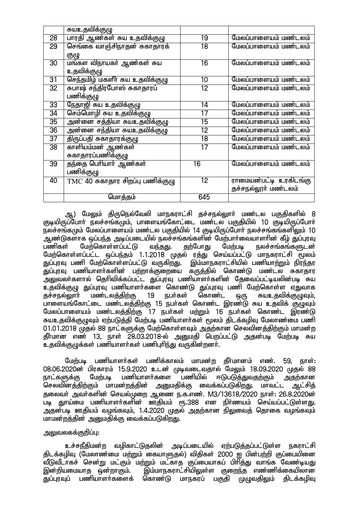|                 | <u>சுயஉத</u> விக்குழு              |                 |                               |
|-----------------|------------------------------------|-----------------|-------------------------------|
| 28              | பாரதி ஆண்கள் சுய உதவிக்குழு        | 19              | மேலப்பாளையம் மண்டலம்          |
| $\overline{29}$ | செங்கை வாஞ்சிநாதன் சுகாதாரக்       | $\overline{18}$ | மேலப்பாளையம் மண்டலம்          |
|                 | குழு                               |                 |                               |
| 30              | மங்கள விநாயகா் ஆண்கள் சுய          | 16              | மேலப்பாளையம் மண்டலம்          |
|                 | உதவிக்குழு                         |                 |                               |
| 31              | செந்தமிழ் மகளீர் சுய உதவிக்குழு    | 10              | மேலப்பாளையம் மண்டலம்          |
| $\overline{32}$ | .<br>சுபாஷ் சந்திரபோஸ் சுகாதாரப்   | 12              | மேலப்பாளையம் மண்டலம்          |
|                 | பணிக்குழு                          |                 |                               |
| 33              | நேதாஜி சுய உதவிக்குழு              | 14              | மேலப்பாளையம் மண்டலம்          |
| $\overline{34}$ | செம்மொழி சுய உதவிக்குழு            | $\overline{17}$ | மேலப்பாளையம் மண்டலம்          |
| 35              | அன்னை சத்தியா சுயஉதவிக்குழு        | 15              | மேலப்பாளையம் மண்டலம்          |
| 36              | அன்னை சந்தியா சுயஉதவிக்குழு        | $\overline{12}$ | மேலப்பாளையம் மண்டலம்          |
| $\overline{37}$ | திருப்பதி சுகாதாரக்குழு            | 18              | மேலப்பாளையம் மண்டலம்          |
| $\overline{38}$ | காளியம்மன் ஆண்கள்                  | 17              | மேலப்பாளையம் மண்டலம்          |
|                 | சுகாதாரப்பணிக்குழு                 |                 |                               |
| $\overline{39}$ | தந்தை பெரியார் ஆண்கள்              | $\overline{16}$ | மேலப்பாளையம் மண்டலம்          |
|                 | பணிக்குழு                          |                 |                               |
| 40              | $TMC$ 40 சுகாதார சிறப்பு பணிக்குழு | 12              | <u>ராமையன்பட்டி உரகிடங்கு</u> |
|                 |                                    |                 | தச்சநல்லூர் மண்டலம்           |
|                 | மொத்தம்                            | 645             |                               |

ஆ) மேலும் திருநெல்வேலி மாநகராட்சி தச்சநல்லுாா் மண்டல பகுதிகளில் 8 ருடியிருப்போர் நலச்சங்கமும், பாளையங்கோட்டை மண்டல பகுதியில் 10 குடியிருப்போர் நலச்சங்கமும் மேலப்பாளையம் மண்டல பகுதியில் 14 குடியிருப்போர் நலச்சங்கங்களிலும் 10 ஆண்டுகளாக ஒப்பந்த அடிப்படையில் நலச்சங்கங்களின் மேற்பார்வையாளரின் கீழ் துப்புரவு பணிகள் மேற்கொள்ளப்பட்டு வந்தது. தற்போது மேற்படி நலச்சங்கங்களுடன் மேற்கொள்ளப்பட்ட ஒப்பந்தம் 1.1.2018 முதல் ரத்து செய்யப்பட்டு மாநகராட்சி மூலம் துப்புரவு பணி மேற்கொள்ளப்பட்டு வருகிறது. இம்மாநகராட்சியில் பணியாற்றும் நிரந்தர துப்புரவு பணியாளர்களின் பற்றாக்குறையை கருத்தில் கொண்டு மண்டல சுகாதார ு அலுவலா்களால் தொிவிக்கப்பட்ட துப்புரவு பணியாளா்களின் தேவைப்பட்டியலின்படி சுய உதவிக்குழு துப்புரவு பணியாளா்களை கொண்டு துப்புரவு பணி மேற்கொள்ள ஏதுவாக<br>கச்சால்லாாா் மண்டலத்திற்கு 19 நபா்கள் கொண்ட ஒரு சுயஉதவிக்குழுவும். தச்சநல்லுாா் மண்டலத்திற்கு 19 நபா்கள் கொண்ட ஒரு சுயஉதவிக்குழுவும். பாளையங்கோட்டை மண்டலத்திற்கு 15 நபா்கள் கொண்ட இரண்டு சுய உதவிக் குமுவம் மேலப்பாளையம் மண்டலத்திற்கு 17 நபர்கள் மற்றும் 16 நபர்கள் கொண்ட இரண்டு சுயஉதவிக்குழுவும் ஏற்படுத்தி மேற்படி பணியாளர்கள் மூலம் திடக்கழிவு மேலாண்மை பணி 01.01.2018 முதல் 88 நாட்களுக்கு மேற்கொள்ளவும் அதற்கான செலவினத்திற்கும் மாமன்ற தீர்மான எண் 13, நாள் 28.03.2018-ல் அனுமதி பெறப்பட்டு அதன்படி மேற்படி சுய .<br>உகவிக்குழுக்கள் பணியாளா்கள் பணிபுாிந்து வருகின்றனா்.

மேற்படி பணியாளர்கள் பணிக்காலம் மாமன்ற தீர்மானம் எண். 59, நாள்: 08.06.2020ன் பிரகாரம் 15.9.2020 உடன் முடிவடைவதால் மேலும் 18.09.2020 முதல் 88<br>நாட்களுக்கு மேற்படி பணியாளா்களை பணியில் ஈடுபடுத்துவதற்கும் அதற்கான நாட்களுக்கு மேற்படி பணியாளா்களை பணியில் ஈடுபடுத்துவதற்கும் அதற்கான<br>செலவினக்கிற்கும் மாமன்றக்கின் அறுமகிக்கு வைக்கப்படுகிறது. மாவட்ட ஆட்சிக் அனுமதிக்கு வைக்கப்படுகிறது. மாவட்ட ஆட்சித் தலைவர் அவர்களின் செயல்முறை ஆணை ந.க.எண். M3/13618/2020 நாள்: 26.8.2020ன் படி துாய்மை பணியாளர்களின் ஊதியம் ரூ.388 என நிர்ணயம் செய்யப்பட்டுள்ளது. அதன்படி ஊதியம் வழங்கவும், 1.4.2020 முதல் அதற்கான நிலுவைத் தொகை வழங்கவும் மாமன்றத்தின் அனுமதிக்கு வைக்கப்படுகிறது.

## அலுவலகக்குறிப்பு:

உச்சநீதிமன்ற வழிகாட்டுதலின் அடிப்படையில் ஏற்படுத்தப்பட்டுள்ள நகராட்சி திடக்கழிவு (மேலாண்மை மற்றும் கையாளுதல்) விதிகள் 2000 ஐ பின்பற்றி குப்பையினை வீடுவீடாகச் சென்று மட்கும் மற்றும் மட்காத குப்பையாகப் பிரித்து வாங்க வேண்டியது இன்றியமையாத ஒன்றாகும். இம்மாநகராட்சியிலுள்ள குறைந்த எண்ணிக்கையிலான<br>துப்புரவுப் பணியாளர்களைக் கொண்டு மாநகரப் பகுதி முழுவகிலும் கிடக்கமிவு கொண்டு மாநகரப் பகுதி முழுவதிலும் திடக்கழிவு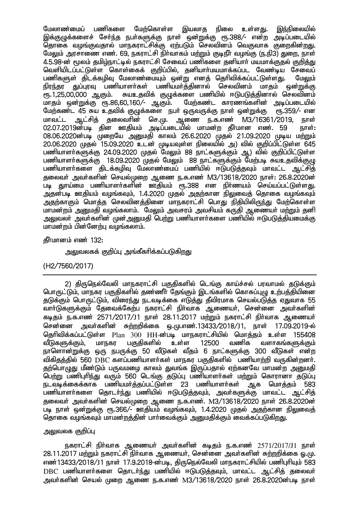இயலாக இந்நிலையில் பணிகளை மேற்கொள்ள நிலை பேலாண்மைப் உள்ளகு. ...<br>கொகை வமங்குவகால் மாநகாாட்சிக்கு எற்படும் செலவினம் வெகுவாக குறைகின்றது. மேலும் அரசாணை எண். 69, நகராட்சி நிர்வாகம் மற்றும் குடிநீர் வழங்கு (ந.நி3) துறை, நாள் 4.5.98-ன் மூலம் தமிழ்நாட்டில் நகராட்சி சேவைப் பணிகளை தனியார் மயமாக்குதல் குறித்து வெளியிடப்பட்டுள்ள சொள்கைக் குறிப்பில், கனியார்மயமாக்கப்பட வேண்டிய சேவைப் பணிகளுள் கிடக்கமிவு மேலாண்மையும் ஒன்று எனக் தெரிவிக்கப்பட்டுள்ளது. பேலும் நிரந்தா குப்பாவ பணியாளர்கள் பணியமா்க்கினால் செலவினம் மாகம் ண்றுக்கு சுயஉதவிக் குமுக்களை பணியில் ஈடுபடுத்தினால் செலவினம் ரூ.1,25,00,000 ஆகும். மாகும் ஒன்றுக்கு ரூ.86.60.160/- ஆகும். மேற்கண்ட காரணங்களின் அடிப்படையில் மேற்கண்ட 45 சுய உதவிக் குழுக்களை நபர் ஒருவருக்கு நாள் ஒன்றுக்கு ரூ.359/- என ஆட்சித் தலைவரின் செ.மு. ஆணை ந.க.எண் M3/16361/2019. நாள் மாவட்ட 02.07.2019ன்படி தின ஊதியம் அடிப்படையில் மாமன்ற தீர்மான எண். 59 நாள்: 08.06.2020ன்படி முறையே அனுமதி காலம் 26.6.2020 முதல் 21.09.2020 முடிய மற்றும்  $20.06.2020$  முதல் 15.09.2020 உடன் முடியவுள்ள நிலையில் அ) வில் குறிப்பிட்டுள்ள 645 பணியாளா்களுக்கு 24.09.2020 முதல் மேலும் 88 நாட்களுக்கும் ஆ) வில் குறிப்பிட்டுள்ள பணியாளா்களுக்கு 18.09.2020 முதல் மேலும் 88 நாட்களுக்கும் மேற்படி சுயஉதவிக்குழு பணியாளர்களை திடக்கழிவு மேலாண்மைப் பணியில் ஈடுபடுத்தவும் மாவட்ட ஆட்சித் தலைவர் அவர்களின் செயல்முறை ஆணை ந.க.எண் M3/13618/2020 நாள்: 26.8.2020ன் படி துாய்மை பணியாளர்களின் ஊதியம் ரூ.388 என நிர்ணயம் செய்யப்பட்டுள்ளது. அதன்படி ஊதியம் வழங்கவும், 1.4.2020 முதல் அதற்கான நிலுவைத் தொகை வழங்கவும் அதற்காகும் மொத்த செலவினத்தினை மாநகராட்சி பொது நிதியிலிருந்து மேற்கொள்ள .<br>மாமன்றம் அமைதி வமங்கலாம். மேலம் அவசாம் அவசியம் கருதி ஆணையர் மற்றும் தனி அலுவலா் அவா்களின் முன்அனுமதி பெற்று பணியாளா்களை பணியில் ஈடுபடுத்தியமைக்கு மாமன்றம் பின்னேற்பு வழங்கலாம்.

### தீர்மானம் எண் 132:

<u>அலுவலகக் குறிப்பு அங்கீகரிக்கப்படுகிறது</u>

## (H2/7560/2017)

2) திருநெல்வேலி மாநகராட்சி பகுதிகளில் டெங்கு காய்ச்சல் பரவாமல் தடுக்கும் <u>பொருட்டும், மாந</u>கர பகுதிகளில் தண்ணீர் தேங்கும் இடங்களில் கொசுப்புழு உற்பத்தியினை குடுக்கும் பொருட்டும். விரைந்து நடவடிக்கை எடுக்து தீவிரமாக செயல்படுக்கு ஏதுவாக 55 .<br>வார்டுகளுக்கும் தேவைக்கேற்ப நகராட்சி நிர்வாக ஆணையர். சென்னை அவர்களின் கடிதம் ந.க.எண் 2571/2017/J1 நாள் 28.11.2017 மற்றும் நகராட்சி நிர்வாக ஆணையர் அவா்களின் சுற்றறிக்கை ஒ.மு.எண்.13433/2018/J1, நாள் 17.09.2019-ல் சென்னை தெரிவிக்கப்பட்டுள்ள Plan 300 HH-ன்படி மாநகாாட்சியில் மொக்கம் உள்ள 155408 வீடுகளுக்கும். மாநகா பகுதிகளில் உள்ள 12500 வணிக வளாகங்களுக்கும் நாளொன்றுக்கு ஒரு நபருக்கு 50 வீடுகள் வீதம் 6 நாட்களுக்கு 300 வீடுகள் என்ற விகிதத்தில் 560 DBC களப்பணியாளா்கள் மாநகர பகுதிகளில் பணியாற்றி வருகின்றனா். குற்பொழுது மீண்டும் பருவமழை காலம் துவங்க இருப்பதால் ஏற்கனவே மாமன்ற அறையதி பெற்று பணிபுரிந்து வரும் 560 டெங்கு தடுப்பு பணியாளர்கள் மற்றும் கொரானா தடுப்பு நடவடிக்கைக்காக பணியமர்த்தப்பட்டுள்ள 23 பணியாளர்கள் ஆக மொத்தம் 583 பணியாளா்களை தொடா்ந்து பணியில் ஈடுபடுத்தவும், அவா்களுக்கு மாவட்ட ஆட்சித் தலைவர் அவர்களின் செயல்முறை ஆணை ந.க.எண். M3/13618/2020 நாள் 26.8.2020ன் .<br>படி நாள் ஒன<u>்று</u>க்கு ரூ.366/– ஊதியம் வழங்கவும், 1.4.2020 முதல் அதற்கான நிலுவைத் தொகை வழங்கவும் மாமன்றத்தின் பார்வைக்கும் அறுமதிக்கும் வைக்கப்படுகிறது.

## அலுவலக குறிப்பு

நகராட்சி நிர்வாக ஆணையர் அவர்களின் கடிதம் ந.க.எண் 2571/2017/J1 நாள் 28.11.2017 மற்றும் நகராட்சி நிர்வாக ஆணையர், சென்னை அவர்களின் சுற்றறிக்கை ஒ.மு. எண்13433/2018/J1 நாள் 17.9.2018-ன்படி, திருநெல்வேலி மாநகராட்சியில் பணிபுரியும் 583 DBC பணியாளர்களை தொடர்ந்து பணியில் ஈடுபடுத்தவும், மாவட்ட ஆட்சித் தலைவர் அவர்களின் செயல் முறை ஆணை ந.க.எண் M3/13618/2020 நாள் 26.8.2020ன்படி நாள்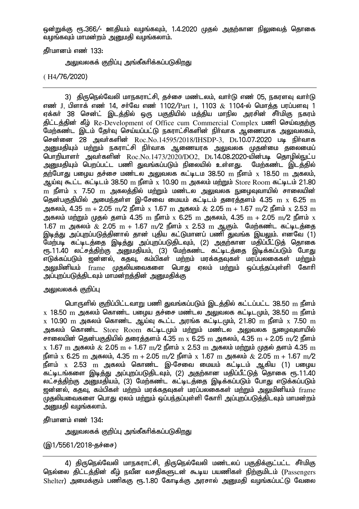ஒன்றுக்கு ரூ.366/- ஊதியம் வழங்கவும், 1.4.2020 முதல் அதற்கான நிலுவைத் தொகை ்வழங்கவும் மாமன்றம் அறைமகி வழங்கலாம்.

 $\frac{1}{2}$ ரிப்பானம் எண்

அலுவலகக் குறிப்பு அங்கீகரிக்கப்படுகிறது

( H4/76/2020)

3) திருநெல்வேலி மாநகராட்சி, தச்சை மண்டலம், வார்டு எண் 05, நகரளவு வார்டு எண் J, பிளாக் எண் 14, சர்வே எண் 1102/ $\rm{Part}$  1, 1103  $\rm{\&}$  1104-ல் மொத்த பரப்பளவு 1 ஏக்கா் 38 சென்ட் இடத்தில் ஒரு பகுதியில் மத்திய மாநில அரசின் சீா்மிகு நகரம் திட்டத்தின் கீழ் Re-Development of Office cum Commercial Complex பணி செய்வதற்கு .<br>மேற்கண்ட இடம் தேர்வு செய்யப்பட்டு நகராட்சிகளின் நிர்வாக ஆணையாக அலுவலகம். சென்னை 28 அவர்களின் Roc.No.14595/2018/IHSDP-3, Dt.10.07.2020 படி நிர்வாக அனுமதியும் மற்றும் நகராட்சி நிா்வாக ஆணையரக அலுவலக முதன்மை தலைமைப் பொறியாளர் அவர்களின்  $Roc.No.1473/2020/DO2$ , Dt.14.08.2020-யின்படி தொழில்நுட்ப <u>அனுமதியும் பெறப்பட்ட பணி துவங்கப்படும் நிலையில் உள்ளது</u>. மேற்கண்ட இடத்தில் தற்போது பழைய தச்சை மண்டல அலுவலக கட்டிடம 38.50 m நீளம்  $\mathrm{x}$  18.50 m அகலம், ஆய்வு கூட்ட கட்டிடம்  $38.50 \,$  m நீளம்  $\rm x$   $10.90 \,$  m அகலம் மற்றும்  $\rm St$ ore Room கட்டிடம்  $21.80 \,$  $\rm m$  நீளம்  $\rm x$  7.50  $\rm m$  அகலத்தில் மற்றும் மண்டல அலுவலக நுழைவுவாயில் சாலையின் தென்பகுதியில் அமைந்தள்ள இ-சேவை மையம் கட்டிடம் தரைத்தளம் 4.35  $\rm{m}$  x 6.25  $\rm{m}$ அகலம், 4.35 m + 2.05 m/2 நீளம் x 1.67 m அகலம்  $\&$  2.05 m + 1.67 m/2 நீளம் x 2.53 m அகலம் மற்றும் முதல் தளம் 4.35  ${\rm m}$  நீளம்  ${\rm x}$  6.25  ${\rm m}$  அகலம், 4.35  ${\rm m}$  + 2.05  ${\rm m}$ /2 நீளம்  ${\rm x}$ 1.67 m அகலம்  $\&$  2.05 m + 1.67 m/2 நீளம் x 2.53 m ஆகும். மேற்கண்ட கட்டிடத்தை இடித்து அப்புறப்படுத்தினால் தான் புதிய கட்டுமானப் பணி துவங்க இயலும். எனவே (1) மேற்படி கட்டிடத்தை இடித்து அப்புறப்படுதிடவும், (2) அதற்கான மதிப்பீட்டுத் தொகை ரூ.11.40 லட்சத்திற்கு அனுமதியம், (3) மேற்கண்ட கட்டிடத்தை இடிக்கப்படும் போது vLf;fg;gLk; [d;dy;> fjT> fk;gpfs; kw;wk; kuf;fjTfs; kug;gyiffs; kw;Wk; அலுமினியம் frame முதலியவைகளை பொது ஏலம் மற்றும் ஒப்பந்தப்புள்ளி கோரி ு;<br>அப்புறப்படுத்திடவும் மாமன்றத்தின் அனுமதிக்கு

## அலுவலகக் குறிப்பு

பொருளில் குறிப்பிட்டவாறு பணி துவங்கப்படும் இடக்கில் கட்டப்பட்ட 38.50  ${\rm m}$  நீளம்  $\rm_X$  18.50 m அகலம் கொண்ட பழைய தச்சை மண்டல அலுவலக கட்டிடமும், 38.50 m நீளம்  $\rm_X$  10.90  $\rm_m$  அகலம் கொண்ட ஆய்வு கூட்ட அரங்க கட்டிடமும், 21.80  $\rm_m$  நீளம்  $\rm_X$  7.50  $\rm_m$ அகலம் கொண்ட Store Room கட்டிடமும் மற்றும் மண்டல அலுவலக நுழைவுவாயில் சாலையின் தென்பகுதியில் தரைத்தளம் 4.35  $\text{m} \times 6.25 \text{ m}$  அகலம், 4.35  $\text{m} + 2.05 \text{ m} / 2$  நீளம்  $\chi$  1.67 m அகலம்  $\&$  2.05 m + 1.67 m/2 நீளம்  $\chi$  2.53 m அகலம் மற்றும் முகுல் குளம் 4.35 m நீளம் x 6.25 m அகலம். 4.35 m + 2.05 m/2 நீளம் x 1.67 m அகலம்  $\&$  2.05 m + 1.67 m/2 நீளம்  $\mathrm{x}$  2.53 m அகலம் கொண்ட இ-சேவை மையம் கட்டிடம் ஆகிய (1) பமைய .<br>கட்டிடங்களை இடித்து அப்புறப்படுதிடவும், (2) அதற்கான மதிப்பீட்டுத் தொகை ரூ.11.40 லட்ச<u>த்திற்கு அனு</u>மதியம், (3) மேற்கண்ட கட்டிடத்தை இடிக்கப்படும் போது எடுக்கப்படும் ் ஹன்னல், க்கூவ, கம்பிகள் மற்றம் மரக்கதவுகள் மரப்பலகைகள் மற்றும் அலுமினியம் frame ...<br>முதலியவைகளை பொது ஏலம் மற்றும் ஒப்பந்தப்புள்ளி கோரி அப்புறப்படுத்திடவும் மாமன்றம் ் அனுமதி வழங்கலாம்.

தீர்மானம் எண் 134:

அலுவலகக் குறிப்பு அங்கீகரிக்கப்படுக<u>ிறத</u>ு

 $(Q<sub>1</sub>/5561/2018-g$ ச்சை)

4) திருநெல்வேலி மாநகராட்சி, திருநெல்வேலி மண்டலப் பகுதிக்குட்பட்ட சீா்மிகு நெல்லை திட்டத்தின் கீழ் நவீன வசதிகளுடன் கூடிய பயணிகள் நிற்குமிடம் (Passengers  $S$ helter) அமைக்கும் பணிககு ரூ.1.80 கோடிக்கு அாசால் அமைகி வமங்கப்பட்டு வேலை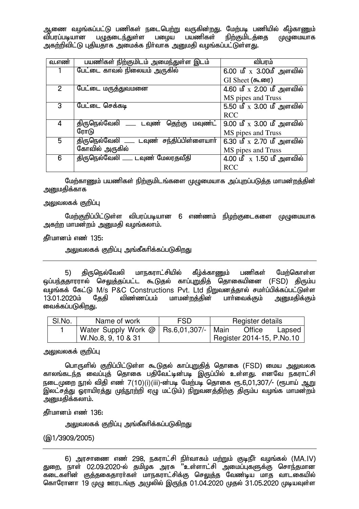ஆணை வழங்கப்பட்டு பணிகள் நடைபெற்று வருகின்றது. மேற்படி பணியில் கீழ்காணும்<br>விபரப்படியான பழுதடைந்துள்ள பழைய பயணிகள் நிற்குமிடத்தை முழுமையாக பமுதை மாந்துள்ள $\overline{\phantom{a}}$ அகற்றிவிட்டு புதியதாக அமைக்க நிர்வாக அறைகி வழங்கப்பட்டுள்ளது.

| வ.எண்          | பயணிகள் நிற்குமிடம் அமைந்துள்ள இடம்           | விபரம்                                  |
|----------------|-----------------------------------------------|-----------------------------------------|
|                | பேட்டை காவல் நிலையம் அருகில்                  | 6.00 மீ $\rm{x}$ 3.00மீ அளவில்          |
|                |                                               | GI Sheet (கூரை)                         |
| $\overline{2}$ | பேட்டை மருத்துவமனை                            | 4.60 மீ $\rm_X$ 2.00 மீ அளவில்          |
|                |                                               | MS pipes and Truss                      |
| 3              | பேட்டை செக்கடி                                | 5.50 மீ $\rm{x}$ 3.00 மீ அளவில்         |
|                |                                               | <b>RCC</b>                              |
| 4              | திருநெல்வேலி _____ டவுண்<br>தெற்கு<br>மவுண்ட் | 9.00 மீ $\,$ x 3.00 மீ அளவில்           |
|                | ரோடு                                          | MS pipes and Truss                      |
| 5.             | திருநெல்வேலி _____ டவுண் சந்திப்பிள்ளையாா்    | $6.30 \nightharpoonup x$ 2.70 மீ அளவில் |
|                | கோவில் அருகில்                                | MS pipes and Truss                      |
| 6              | திருநெல்வேலி ____ டவுண் மேலரதவீதி             | 4.00 மீ $\,$ x 1.50 மீ அளவில்           |
|                |                                               | <b>RCC</b>                              |

மேற்காணும் பயணிகள் நிற்குமிடங்களை முழுமையாக அப்புறப்படுத்த மாமன்றத்தின் அறுமகிக்காக

### அலுவலகக் குறிப்பு

மேற்குறிப்பிட்டுள்ள விபரப்படியான 6 எண்ணம் நிழற்குடைகளை முழுமையாக அகற்ற மாமன்றம் அனுமதி வழங்கலாம்.

கீர்மானம் எண் $135:$ 

<u>அலுவலகக் குறிப்பு அங்கீகரிக்கப்படுகிறது</u>

5) திருநெல்வேலி மாநகராட்சியில் கீழ்க்காணும் பணிகள் மேற்கொள்ள ஒப்பந்ததாரரால் செலுத்தப்பட்ட கூடுதல் காப்புறுதித் தொகையினை (FSD) திரும்ப வழங்கக் கேட்டு M/s P&C Constructions Pvt. Ltd நிறுவனத்தால் சமா்ப்பிக்கப்பட்டுள்ள<br>13.01.2020ம் கேகி விண்ணப்பம் மாமன்றக்கின் பாா்வைக்கும் அறையகிக்கும் பார்வைக்கும் அறுமகிக்கும் வைக்கப்படுகிறது.

| SI.No. | Name of work                                | <b>FSD</b> | Register details          |        |
|--------|---------------------------------------------|------------|---------------------------|--------|
|        | Water Supply Work $@ $ Rs.6,01,307/-   Main |            | Office                    | Lapsed |
|        | W.No.8, 9, 10 & 31                          |            | Register 2014-15, P.No.10 |        |

அலுவலகக் குறிப்பு

பொருளில் குறிப்பிட்டுள்ள கூடுதல் காப்புறுதித் தொகை (FSD) மைய அலுவலக காலங்கடந்த வைப்புத் தொகை பதிவேட்டின்படி இருப்பில் உள்ளது. எனவே நகராட்சி நடைமுறை நூல் விதி எண் 7(10)(i)(iii)-ன்படி மேற்படி தொகை ரூ.6,01,307/- (ரூபாய் ஆறு இலட்சத்து ஓராயிரத்து முந்நூற்றி ஏழு மட்டும்) நிறுவனத்திற்கு திரும்ப வழங்க மாமன்றம் அனுமதிக்கலாம்.

கீர்மானம் எண் $136$ :

அலுவலகக் குறிப்பு அங்கீகரிக்கப்படுகிறது

(@1/3909/2005)

6) அரசாணை எண் 298, நகராட்சி நிர்வாகம் மற்றும் குடிநீர் வழங்கல் (MA.IV) துறை, நாள் 02.09.2020-ல் தமிழக அரசு "உள்ளாட்சி அமைப்புகளுக்கு சொந்தமான ்கடைகளின் குத்தகைதாரா்கள் மாநகராட்சிக்கு செலுத்த வேண்டிய மாத வாட்கையில் கொரோனா 19 முழு ஊரடங்கு அமுலில் இருந்த 01.04.2020 முதல் 31.05.2020 முடியவுள்ள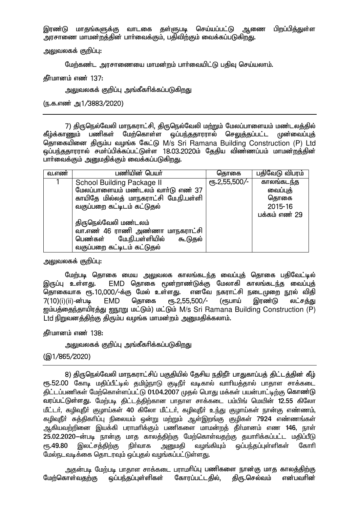இரண்டு மாதங்களுக்கு வாடகை தள்ளுபடி செய்யப்பட்டு ஆணை பிறப்பித்துள்ள ு நாசாணை மாமன்றத்தின் பார்வைக்கும். பதிவிற்கும் வைக்கப்படுகிறது.

அலுவலகக் குறிப்ப $:$ 

மேற்கண்ட அாசாணையை மாமன்றம் பார்வையிட்டு பகிவ செய்யலாம்.

 $\delta$ ர்மானம் எண் $137:$ 

அலுவலகக் குறிப்பு அங்கீகரிக்கப்படுகிறது

(ந.க.எண் அ1/3883/2020)

7) திருநெல்வேலி மாநகராட்சி, திருநெல்வேலி மற்றும் மேலப்பாளையம் மண்டலத்தில்<br>கீம்க்காணம் பணிகள் மேற்கொள்ள ஒப்பந்ததாரரால் செலுத்தப்பட்ட முன்வைப்புத் <u>மேற்கொள்ள ஒப்பந்ததாரரால்</u> தொகையினை திரும்ப வழங்க கேட்டு M/s Sri Ramana Building Construction (P) Ltd <u>ஓ</u>ப்பந்ததாரரால் சமர்ப்பிக்கப்பட்டுள்ள 18.03.2020ம் தேதிய விண்ணப்பம் மாமன்றத்தின் பார்வைக்கும் அனுமதிக்கும் வைக்கப்படுகிறது.

| வ.எண் | பணியின் பெயா்                         | தொகை                   | பதிவேடு விபரம் |
|-------|---------------------------------------|------------------------|----------------|
|       | School Building Package II            | $\sqrt{10.2,55,500/-}$ | காலங்கடந்த     |
|       | மேலப்பாளையம் மண்டலம் வார்டு எண் 37    |                        | வைப்புத்       |
|       | காயிதே மில்லத் மாநகராட்சி மே.நி.பள்ளி |                        | தொகை           |
|       | வகுப்பறை கட்டிடம் கட்டுதல்            |                        | 2015-16        |
|       |                                       |                        | பக்கம் எண் 29  |
|       | திருநெல்வேலி மண்டலம்                  |                        |                |
|       | வா.எண் 46 ராணி அண்ணா மாநகராட்சி       |                        |                |
|       | பெண்கள் மே.நி.பள்ளியில்<br>கூடுதல்    |                        |                |
|       | வகுப்பறை கட்டிடம் கட்டுதல்            |                        |                |

அலுவலகக் குறிப்பு $:$ 

மேற்படி தொகை மைய அலுவலக காலங்கடந்த வைப்புத் தொகை பதிவேட்டில்<br>இருப்பு உள்ளது. EMD தொகை மூன்றாண்டுக்கு மேலாகி காலங்கட<u>ந்</u>த வைப்பக் EMD தொகை மூன்றாண்டுக்கு மேலாகி காலங்கடந்த வைப்புத்<br>00⁄-க்கு மேல் உள்ளது. எனவே நகராட்சி நடைமுறை நூல் விதி .<br>தொகையாக ரூ.10,000/-க்கு மேல் உள்ள<u>த</u>ு. 7(10)(i)(ii)-ன்படி EMD தொகை ரூ.2,55,500/- (ரூபாய் இரண்டு லட்ச<u>த்து</u> ஜம்பத்தைந்தாயிரத்து <u>ஜநூறு</u> மட்டும்) மட்டும் M/s Sri Ramana Building Construction (P) Ltd நிறுவனத்திற்கு திரும்ப வழங்க மாமன்றம் அனுமதிக்கலாம்.

கீர்மானம் எண் 138:

அலுவலகக் குறிப்பு அங்கீகரிக்கப்படுக<u>ிறத</u>ு

(@1/865/2020)

8) திருநெல்வேலி மாநகராட்சிப் பகுதியில் தேசிய நதிநீர் பாதுகாப்பத் திட்டத்தின் கீழ் ரூ.52.00 கோடி மதிப்பீட்டில் தமிழ்நாடு குடிநீர் வடிகால் வாரியத்தால் பாதாள சாக்கடை திட்டப்பணிகள் மேற்கொள்ளப்பட்டு 01.04.2007 முதல் பொது மக்கள் பயன்பாட்டிற்கு கொண்டு ்வரப்பட்டுள்ளது. மேற்படி திட்டத்திற்கான பாதாள சாக்கடை பம்பிங் மெயின் 12.55 கிலோ மீட்டர், கழிவுநீர் குழாய்கள் 40 கிலோ மீட்டர், கழிவுநீர் உந்து குழாய்கள் நான்கு எண்ணம், கழிவுநீா் சுத்திகாிப்பு நிலையம் ஒன்று மற்றும் ஆள்இறங்கு குழிகள் 7924 எண்ணங்கள் அகியவற்றினை இயக்கி பராமரிக்கும் பணிகளை மாமன்றத் தீர்மானம் எண 146, நாள் 25.02.2020-ன்படி நான்கு மாத காலத்திற்கு மேற்கொள்வதற்கு தயாரிக்கப்பட்ட மதிப்பீடு ரு. 49.80 இலட்சத்திற்கு நிர்வாக அனுமதி வழங்கியும் ஒப்பந்தப்புள்ளிகள் கோரி மேல்நடவடிக்கை கொடரவும் ஒப்புகல் வழங்கப்பட்டுள்ளது.

அதன்படி மேற்படி பாதாள சாக்கடை பராமாிப்பு பணிகளை நான்கு மாத காலத்திற்கு<br>காள்வதற்கு ஒப்பந்தப்புள்ளிகள் கோரப்பட்டதில், திரு.செல்வம் என்பவாின் மேற்கொள்வதற்கு ஒப்பந்தப்புள்ளிகள் கோரப்பட்டதில், திரு.செல்வம் என்பவரின்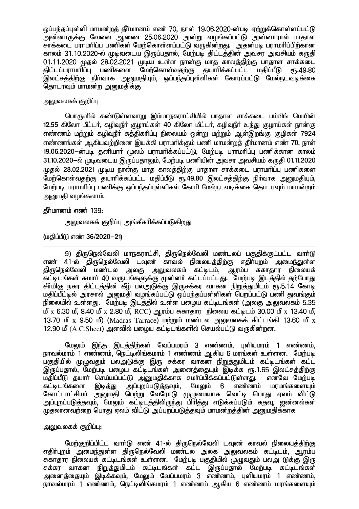<u>ஒப்பந்த</u>ப்புள்ளி மாமன்றத் தீர்மானம் எண் 70, நாள் 19.06.2020-ன்படி ஏற்றுக்கொள்ளப்பட்டு .<br>அன்னாருக்கு வேலை ஆணை 25.06.2020 அன்று வழங்கப்பட்டு அன்னாரால் பாதாள ு.<br>சாக்கடை பாாமரிப்ப பணிகள் மேற்கொள்ளப்பட்டு வருகின்றது. அகன்படி பாாமரிப்பிற்கான காலம் 31.10.2020-ல் முடிவடைய இருப்பதால், மேற்படி திட்டத்தின் அவசர அவசியம் கருதி 01.11.2020 முதல் 28.02.2021 முடிய உள்ள நான்கு மாத காலத்திற்கு பாதாள சாக்கடை<br>கிட்டப்பாாமரிப்ப பணிகளை மேற்கொள்வகற்கு கயாரிக்கப்பட்ட மகிப்பீடு ரூ.49.80 திட்டப்பராமரிப்பு பணிகளை மேற்கொள்வதற்கு தயாரிக்கப்பட்ட மதிப்பீடு ,<br>இலட்சக்கிற்கு நிர்வாக அறுமதியும், ஒப்பந்தப்புள்ளிகள் கோரப்பட்டு மேல்நடவடிக்கை தொடரவும் மாமன்ற அனுமதிக்கு

### அலுவலகக் குறிப்பு

பொருளில் கண்டுள்ளவாறு இம்மாநகராட்சியில் பாதாள சாக்கடை பம்பிங் மெயின் 12.55 கிலோ மீட்டர், கழிவுநீர் குழாய்கள் 40 கிலோ மீட்டர், கழிவுநீர் உந்து குழாய்கள் நான்கு எண்ணம் மற்றும் கழிவுநீர் சுத்திகரிப்பு நிலையம் ஒன்று மற்றும் ஆள்இறங்கு குழிகள் 7924 எண்ணங்கள் ஆகியவற்றினை இயக்கி பராமரிக்கும் பணி மாமன்றக் கீர்மானம் எண் 70, நாள் 19.06.2020-ல்படி தனியார் மூலம் பராமரிக்கப்பட்டு, மேற்படி பராமரிப்பு பணிக்கான காலம் 31.10.2020-ல் முடிவடைய இருப்பதாலும், மேற்படி பணியின் அவசர அவசியம் கருதி 01.11.2020 முதல் 28.02.2021 முடிய நான்கு மாத காலத்திற்கு பாதாள சாக்கடை பராமரிப்பு பணிகளை மேற்கொள்வதற்கு தயாரிக்கப்பட்ட மதிப்பீடு ரூ.49.80 இலட்சத்திற்கு நிர்வாக அனுமதியும், மேற்படி பராமரிப்பு பணிக்கு ஒப்பந்தப்புள்ளிகள் கோரி மேல்நடவடிக்கை தொடரவும் மாமன்றம் அனுமதி வழங்கலாம்.

## கீர்மானம் எண் $139:$

அலுவலகக் குறிப்பு அங்கீகரிக்கப்படுகிறது

(மகிப்பீடு எண் 36/2020-21)

9) திருநெல்வேலி மாநகராட்சி, திருநெல்வேலி மண்டலப் பகுதிக்குட்பட்ட வார்டு எண் 41-ல் திருநெல்வேலி டவுண் காவல் நிலையத்திற்கு எதிா்புறம் அமைந்துள்ள திருநெல்வேலி மண்டல அலகு அலுவலகம் கட்டிடம், ஆரம்ப சுகாதார நிலையக் ்கட்டிடங்கள் சுமார் 40 வருடங்களுக்கு முன்னர் கட்டப்பட்டது. மேற்படி இடத்தில் தற்போது சீர்மிகு நகர திட்டத்தின் கீழ் பலஅடுக்கு இருசக்கர வாகன நிறுத்துமிடம் ரூ.5.14 கோடி மதிப்பீட்டில் அரசால் அறையதி வழங்கப்பட்டு ஒப்பந்தப்பள்ளிகள் பெறப்பட்டு பணி துவங்கும் நிலையில் உள்ளது. மேற்படி இடத்தில் உள்ள பழைய கட்டிடங்கள் (அலகு அலுவலகம் 5.35 மீ  $x$  6.30 மீ, 8.40 மீ  $x$  2.80 மீ, RCC) ஆரம்ப சுகாதார நிலைய கட்டிடம் 30.00 மீ  $x$  13.40 மீ, 13.70  $\mathbf{u}^p$  x 9.50  $\mathbf{u}^p$ ) (Madras Tarrace) மற்றும் மண்டல அலுவலகக் கிட்டங்கி 13.60  $\mathbf{u}^p$  x 12.90 மீ  $(A.C. Sheet)$  அளவில் பமைய கட்டீடங்களில் செயல்பட்டு வருகின்றன.

மேலும் இந்த இடத்திற்கள் வேப்பமரம் 3 எண்ணம், புளியமரம் 1 எண்ணம், நாவல்மரம் 1 எண்ணம், நெட்டிலிங்கமரம் 1 எண்ணம் ஆகிய 6 மரங்கள் உள்ளன. மேற்படி பகுதியில் முழுவதும் பலஅடுக்கு இரு சக்கர வாகன <u>நிறுத்து</u>மிடம் கட்டிடங்கள் கட்ட இருப்பதால், மேற்படி பழைய கட்டிடங்கள் அனைத்தையும் இடிக்க ரூ.1.65 இலட்சத்திற்கு மதிப்பீடு தயாா் செய்யப்பட்டு அனுமதிக்காக சமா்ப்பிக்கப்பட்டுள்ளது. என்வே மேற்படி<br>கட்டிடங்களை இடித்து அப்புறப்படுத்தவும், மேலும் 6 எண்ணம் மரமங்களையும் கட்டிடங்களை இடித்து அப்புறப்படுத்தவும், மேலும் 6 எண்ணம் மரமங்களையும் கோட்டாட்சியா் அனுமதி பெற்று வேரோடு முழுமையாக வெட்டி பொது ஏலம் விட்டு <u>அப்புறப்படுத்தவும், மேலும் கட்டிடத்திலிருந்து பிரித்து எடுக்கப்படும் கதவு, ஜன்னல்கள்</u> முதலானவற்றை பொது ஏலம் விட்டு அப்புறப்படுத்தவும் மாமன்றத்தின் அனுமதிக்காக

# அலுவலகக் குறிப்பு $:$

மேற்குறிப்பிட்ட வார்டு எண் 41-ல் திருநெல்வேலி டவுண் காவல் நிலையத்திற்கு எதிா்புறம் அமை<u>ந்து</u>ள்ள திருநெல்வேலி மண்டல அலக அலுவலகம் கட்டிடம், ஆரம்ப சுகாதார நிலையக் கட்டிடங்கள் உள்ளன. மேற்படி பகுதியில் முமுவதும் பலஅ டுக்கு இரு சக்கர வாகன நிறுத்துமிடம் கட்டிடங்கள் கட்ட இருப்பதால் மேற்படி கட்டிடங்கள் அனைத்தையும் இடிக்கவும், மேலும் வேப்பமரம் 3 எண்ணம், புளியமரம் 1 எண்ணம், நாவல்மரம் 1 எண்ணம், நெட்டிலிங்கமரம் 1 எண்ணம் ஆகிய 6 எண்ணம் மரங்களையும்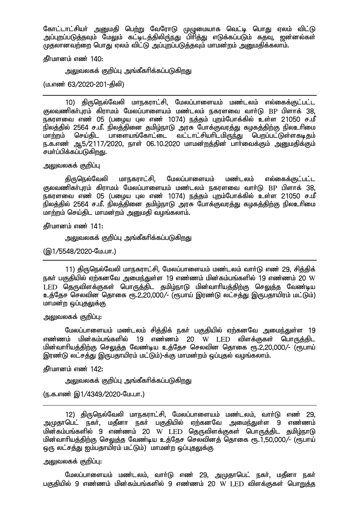கோட்டாட்சியர் அனுமதி பெற்று வேரோடு முழுமையாக வெட்டி பொது ஏலம் விட்டு mg;Gwg;gLj;jTk; NkYk; fl;blj;jpypU;eJ gphpj;J vLf;fg;gLk; fjT> [d;dy;fs; முதலானவற்றை பொது ஏலம் விட்டு அப்புறப்படுத்தவும் மாமன்றம் அறுமதிக்கலாம்.

கீர்மானம் எண் $140:$ 

அலுவலகக் குறிப்பு அங்கீகரிக்கப்படுகிறது

(ம.எண் 63/2020-201-கிலி)

10) திருநெல்வேலி மாநகராட்சி, மேலப்பாளையம் மண்டலம் எல்கைக்குட்பட்ட குலவணிகர்பூரம் கிராமம் மேலப்பாளையம் மண்டலம் நகரளவை வார்டு BP பிளாக் 38. .<br>நகரளவை எண் 05 (பழைய புல எண் 1074) <u>நத்த</u>ம் புறம்போக்கில் உள்ள 21050 ச.மீ .<br>நிலத்தில் 2564 ச.மீ. நிலத்தினை தமிழ்நாடு அரசு போக்குவரத்து கழகத்திற்கு நிலஉரிமை<br>மாற்றம் செய்கிட பாளையங்கோட்டை வட்டாட்சியாிடமிருந்து பொப்பட்டுள்ளகடிதம் செய்திட பாளையங்கோட்டை வட்டாட்சியாிடமிருந்து பெறப்பட்டுள்ளகடிதம் ந.க.எண் ஆ5/2117/2020, நாள் 06.10.2020 மாமன்றத்தின் பார்வைக்கும் அனுமதிக்கும் சமா்ப்பிக்கப்படுகிறது.

அலுவலகக் குறிப்பு

திருநெல்வேலி மாநகராட்சி, மேலப்பாளையம் மண்டலம் எல்கைக்குட்பட்ட குலவணிகர்புரம் கிராமம் மேலப்பாளையம் மண்டலம் நகரளவை வார்டு BP பிளாக் 38, நகரளவை எண் 05 (பழைய புல எண் 1074) நத்தம் புறம்போக்கில் உள்ள 21050 ச.மீ .<br>நிலத்தில் 2564 ச.மீ. நிலத்தினை தமிழ்நாடு அரசு போக்குவரத்து கழகத்திற்கு நிலஉரிமை மாற்றம் செய்திட மாமன்றம் அனுமதி வழங்கலாம்.

தீர்மானம் எண் $141:$ 

அலுவலகக் குறிப்பு அங்கீகரிக்கப்படுகிறது

(இ1/5548/2020-மே.பா.)

11) திருநெல்வேலி மாநகராட்சி, மேலப்பாளையம் மண்டலம் வார்டு எண் 29, சித்திக் நகர் பகுகியில் எற்கனவே அமைந்துள்ள 19 எண்ணம் மின்கம்பங்களில் 19 எண்ணம் 20 W LED தெருவிளக்குகள் பொருத்திட தமிழ்நாடு மின்வாரியத்திற்கு செலுத்த வேண்டிய உத்தேச செலவின தொகை ரூ.2,20,000/- (ரூபாய் இரண்டு லட்சத்து இருபதாயிரம் மட்டும்) மாமன்ற ஒப்புகலுக்கு

அலுவலகக் குறிப்பு:

மேலப்பாளையம் மண்டலம் சித்திக் நகர் பகுதியில் ஏற்கனவே அமைந்துள்ள 19 எண்ணம் மின்கம்பங்களில் 19 எண்ணம் 20  $\rm W$  LED விளக்குகள் பொருக்கிட மின்வாரியத்திற்கு செலுத்த வேண்டிய உத்தேச செலவின தொகை ரூ.2,20,000/- (ரூபாய் இரண்டு லட்சத்து இருபதாயிரம் மட்டும்)-க்கு மாமன்றம் ஒப்புதல் வழங்கலாம்.

கீர்மானம் எண் $142:$ 

அலுவலகக் குறிப்பு அங்கீகரிக்கப்படுகிறது

(ந.க.எண் இ1/4349/2020-மே.பா.)

12) திருநெல்வேலி மாநகராட்சி, மேலப்பாளையம் மண்டலம், வார்டு எண் 29, அமுதாபெட் நகர், மதீனா நகர் பகுதியில் ஏற்கனவே அமைந்துள்ள 9 எண்ணம் kpd;fk;gq;fspy; 9 vz;zk; 20 W LED njUtpsf;Ffs; nghUj;jpl jkpo;ehL மின்வாரியத்திற்கு செலுத்த வேண்டிய உத்தேச செலவினத் தொகை ரூ.1,50,000/- (ரூபாய் ஒரு லட்சத்து <u>ஐ</u>ம்பதாயிரம் மட்டும்) மாமன்ற ஒப்புதலுக்கு

அலுவலகக் குறிப்பு:

மேலப்பாளையம் மண்டலம், வாா்டு எண் 29, அமுதாபெட் நகா், மதீனா நகா் பகுதியில் 9 எண்ணம் மின்கம்பங்களில் 9 எண்ணம் 20  $\rm W$  LED விளக்குகள் பொ<u>றுத்</u>த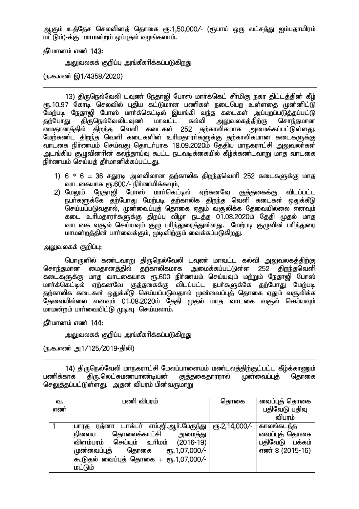ஆகும் உத்தேச செலவினத் தொகை ரூ.1,50,000/- (ரூபாய் ஒரு லட்சத்து ஐம்பதாயிரம் மட்டும்)-க்கு மாமன்றம் ஒப்புகல் வமங்கலாம்.

 $\frac{1}{2}$ ரிப்பானம் எண் $143$ :

அலுவலகக் குறிப்பு அங்கீகரிக்கப்படுகிறது

(ந.க.எண் இ1/4358/2020)

13) திருநெல்வேலி டவுண் நேதாஜி போஸ் மார்க்கெட் சீர்மிகு நகர திட்டத்தின் கீழ் ரூ.10.97 கோடி செலவில் புதிய கட்டுமான பணிகள் நடைபெற உள்ளதை முன்னிட்டு மேற்படி நேதாஜி போஸ் மாா்க்கெட்டில் இயங்கி வந்த கடைகள் அப்புறப்படுத்தப்பட்டு<br>தற்போது திருநெல்வேலிடவுண் மாவட்ட கல்வி அலுவலகத்திற்கு சொந்தமான தற்போது திருநெல்வேலிடவுண் மாவட்ட கல்வி அலுவலகத்திற்கு சொந்தமான <u>மைதானத்தில் திறந்த</u> வெளி கடைகள் 252 தற்காலிகமாக அமைக்கப்பட்டுள்ளது. மேற்கண்ட திறந்த வெளி கடைகளின் உரிமதாரர்களுக்கு தற்காலிகமான கடைகளுக்கு வாடகை நிர்ணயம் செய்வது தொடர்பாக 18.09.2020ம் தேதிய மாநகராட்சி அலுவலர்கள் <u>அ</u>டங்கிய குழுவினரின் கலந்தாய்வு கூட்ட நடவடிக்கையில் கீழ்க்கண்டவாறு மாத வாடகை நிர்ணயம் செய்யத் தீர்மானிக்கப்பட்ட<u>து</u>.

- 1)  $6 * 6 = 36$  சதுரடி அளவிலான தற்காலிக திறந்தவெளி 252 கடைகளுக்கு மாத ் வாடகையாக ரூ.600⁄– நிா்ணயிக்கவும்,<br>2) மேலும் நேதாஜி போஸ் மாா்கெட்
- போஸ் மார்கெட்டில் ஏற்கனவே குத்தகைக்கு விடப்பட்ட நபா்களுக்கே தற்போது மேற்படி தற்காலிக திறந்த வெளி கடைகள் ஒதுக்கீடு .<br>செய்யப்படுவகால், முன்வைப்பக் கொகை எகும் வசூலிக்க கேவையில்லை எனவம் கடை உரிமகாரா்களுக்கு கிறப்பு விழா நடக்கு 01.08.2020ம் கேகி முகல் மாக வாடகை வசூல் செய்யவும் குமு பரிந்துரைத்துள்ளது. மேற்படி குமுவின் பரிந்துரை மாமன்றத்தின் பார்வைக்கும், முடிவிற்கும் வைக்கப்படுகிறது.

அலுவலகக் குறிப்பு:

பொருளில் கண்டவாறு திருநெல்வேலி டவுண் மாவட்ட கல்வி அலுவலகத்திற்கு சொந்தமான மைதானத்தில் தற்காலிகமாக அமைக்கப்பட்டுள்ள 252 கிறந்தவெளி கடைகளுக்கு மாத வாடகையாக ரூ.600 நிர்ணயம் செய்யவும் மற்றும் நேதாஜி போஸ் மார்க்கெட்டில் ஏற்கனவே குத்தகைக்கு விடப்பட்ட நபர்களுக்கே தற்போது மேற்படி தற்காலிக கடைகள் ஒதுக்கீடு செய்யப்படுவதால் முன்வைப்புத் தொகை ஏதும் வசூலிக்க குறைவயில்லை எனவும் 01.08.2020ம் தேதி முதல் மாத வாடகை வசூல் செய்யவும் மாமன்றம் பாா்வையிட்டு முடிவு செய்யலாம்.

தீர்மானம் எண் 144:

அலுவலகக் குறிப்பு அங்கீகரிக்கப்படுகி<u>றது</u>

(ந.க.எண் அ1/125/2019-திலி)

14) திருநெல்வேலி மாநகராட்சி மேலப்பாளையம் மண்டலத்திற்குட்பட்ட கீழ்க்காணும்<br>எாக கிரு.லெட்சுமணபாண்டியன் குக்தகைதாரரால் முன்வைப்புத் கொகை பணிக்காக கிரு.லெட்சுமணபாண்டியன் குக்குகைகாரரால் முன்வைப்புக் தொகை செலுத்தப்பட்டுள்ளது. அதன் விபரம் பின்வருமாறு

| வ.  | பணி விபரம்                                            | தொகை                                    | வைப்புத் தொகை     |
|-----|-------------------------------------------------------|-----------------------------------------|-------------------|
| எண் |                                                       |                                         | பதிவேடு பதிவு     |
|     |                                                       |                                         | விபரம்            |
|     | டாக்டா் எம்.ஜி.ஆா்.பேரு <u>ந்</u> து<br>ரத்னா<br>பாரத | $e$ <sup>0</sup> .2,14,000 <sup>7</sup> | காலங்கடந்த        |
|     | தொலைக்காட்சி<br>நிலைய<br>அமைத்து                      |                                         | வைப்புத் தொகை     |
|     | விளம்பரம் செய்யும் உரிமம்<br>$(2016-19)$              |                                         | பதிவேடு<br>பக்கம் |
|     | முன்வைப்புத்<br>$\epsilon$ гђ. 1,07,000/-<br>தொகை     |                                         | எண் 8 (2015-16)   |
|     | கூடுதல் வைப்புத் தொகை + ரூ.1,07,000/-                 |                                         |                   |
|     | <u>மட்டும்</u>                                        |                                         |                   |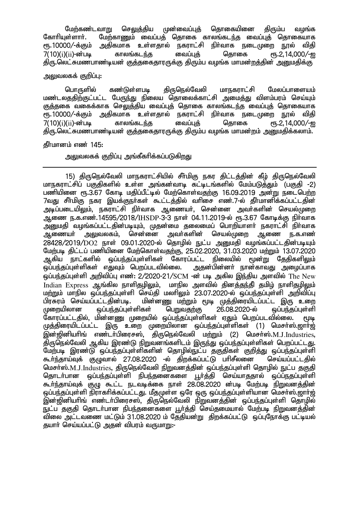மேற்கண்டவாறு செலுத்திய முன்வைப்புத் தொகையினை திரும்ப வழங்க<br>கோரியள்ளார். மேற்காணம் வைப்பக் கொகை காலங்கடந்க வைப்பக் கொகையாக கோரியுள்ளாா். மேற்காணும் வைப்பத் தொகை காலங்கடந்த வைப்புத் தொகையாக<br>ஸ.10000/-க்கும் அகிகமாக உள்ளகால் நகாாட்சி நிா்வாக நடைமுறை நால் விகி <u>நிர்வாக நடைமுறை ந</u>ூல் விதி  $7(10)(i)$ ( $ii$ )-ன்படி காலங்கடந்த வைப்புக் தொகை ரூ.2,14,000/-ஐ திரு.லெட்சுமணபாண்டியன் குத்தகைதாரருக்கு திரும்ப வழங்க மாமன்றத்தின் அனுமதிக்கு

## அலுவலகக் குறிப்பு:

பொருளில் கண்டுள்ளபடி கிருநெல்வேலி மாநகராட்சி மேலப்பாளையம் மண்டலததிற்குட்பட்ட பேருந்து நிலைய தொலைக்காட்சி அமைத்து விளம்பரம் செய்யும் <u>குத்த</u>கை வகைக்காக செலுத்திய வைப்புத் தொகை காலங்கடந்த வைப்புத் தொகையாக &.10000/-f;Fk; mjpfkhf cs;sjhy; efuhl;rp eph;thf eilKiw E}y; tpjp  $7(10)(i)(ii)$ -ன்படி காலங்கடந்த வைப்புத் தொகை திரு.லெட்சுமணபாண்டியன் குத்தகைதாரருக்கு திரும்ப வழங்க மாமன்றம் அனுமதிக்கலாம்.

#### <u>கீர்மானம் எண் 145:</u>

## அலுவலகக் குறிப்பு அங்கீகரிக்கப்படுகிறது

15) திருநெல்வேலி மாநகராட்சியில் சீர்மிகு நகர திட்டத்தின் கீழ் திருநெல்வேலி மாநகராட்சிப் பகுதிகளில் உள்ள அங்கன்வாடி கட்டிடங்களில் மேம்படுத்தும் (பகுதி -2) பணியினை ரூ.3.67 கோடி மதிப்பீட்டில் மேற்கொள்வதற்கு 16.09.2019 அன்று நடைபெற்ற 7வது சீா்மிகு நகர இயக்குநா்கள் கூட்டத்தில் வாிசை எண்.7-ல் தீா்மானிக்கப்பட்டதின் அடிப்படையிலும், நகராட்சி நிர்வாக ஆணையர், சென்னை அவர்களின் செயல்முறை அணை ந.க.எண்.14595/2018/IHSDP-3-3 நாள் 04.11.2019-ல் ரூ.3.67 கோடிக்கு நிர்வாக அனுமதி வழங்கப்பட்டதின்படியும், முதன்மை தலைமைப் பொறியாளா் நகராட்சி நிா்வாக<br>ஆணையா் அலுவலகம், சென்னை அவா்களின் செயல்முறை ஆணை ந.க.எண் அலுவலகம், சென்னை அவர்களின் செயல்முறை ஆணை ந.க.எண்  $28428/2019/DO2$  நாள் 09.01.2020-ல் தொழில் நுட்ப அனுமதி வழங்கப்பட்டதின்படியும் மேற்படி திட்டப் பணியினை மேற்கொள்வதற்கு, 25.02.2020, 31.03.2020 மற்றும் 13.07.2020<br>ஆகிய நாட்களில் ஒப்பந்தப்புள்ளிகள் கோரப்பட்ட நிலையில் மூன்று தேதிகளிலும் ஆகிய நாட்களில் ஒப்பந்தப்புள்ளிகள் கோரப்பட்ட நிலையில் மூன்று தேதிகளிலும் ஒப்பந்தப்புள்ளிகள் எதுவும் பெறப்படவில்லை. அதன்பின்னா் நான்காவது அழைப்பாக .<br>ஒப்பந்தப்புள்ளி அறிவிப்பு எண்: 2/2020-21/SCM -ன் படி அகில இந்திய அளவில் The New<br>Indian Express ஆங்கில நாளிதமிலும், மாநில அளவில் கினக்குந்தி குமிம் நாளிதமிலும் மாநில அளவில் கினக்கு்க்கி குமிம் நாளிகுமிலும் மற்றும் மாநில ஒப்பந்தப்புள்ளி செய்தி மலாிலும் 23.07.2020-ல் ஒப்பந்தப்புள்ளி அறிவிப்பு<br>பிரசுரம் செய்யப்பட்டதின்படி. மின்னணு மற்றும் மூடி முக்திரையிடப்பட்ட இரு உறை பிரசுரம் செய்யப்பட்டதின்படி. மின்னணு மற்றும் மூடி முத்திரையிடப்பட்ட இரு உறை<br>முறையிலான ஒப்பந்தப்புள்ளிகள் பெறுவதற்கு 26.08.2020-ல் ஒப்பந்தப்புள்ளி  $\tilde{\omega}$ ப்பந்தப்புள்ளிகள் பெறுவதற்கு 26.08.2020-ல் ஒப்பந்தப்புள்ளி கோரப்பட்டதில், மின்னணு முறையில் ஒப்பந்தப்புள்ளிகள் ஏதும் பெறப்படவில்லை. மூடி முத்திரையிடப்பட்ட இரு உறை முறையிலான ஒப்பந்தப்புள்ளிகள் (1) மெசா்ஸ்.ஜாா்ஜ் ் இன்றினியரிங் எண்டர்பிரைசஸ், திருநெல்வேலி மற்றும் (2) மெசர்ஸ்.M.J.Industries. திருநெல்வேலி ஆகிய இரண்டு நிறுவனங்களிடம் இருந்து ஒப்பந்தப்புள்ளிகள் பெறப்பட்டது. மேற்படி இரண்டு ஒப்பந்தப்புள்ளிகளின் தொழில்நுட்ப தகுதிகள் குறித்து ஒப்பந்தப்புள்ளி கூர்ந்தாய்வுக் குழுவால் 27.08.2020 -ல் திறக்கப்பட்டு பரிசீலனை செய்யப்பட்டதில் மெசா்ஸ்.M.J.Industries, திருநெல்வேலி நிறுவனத்தின் ஒப்பந்தப்புள்ளி தொழில் நுட்ப தகுதி<br>கொடா்பான வப்பந்கப்பள்ளி நிபந்களைகளை டா்க்கி செய்யாககால் வப்ப்நகப்பள்ளி ஒப்பந்தப்புள்ளி நிபந்தனைகளை பூர்த்தி செய்யாததால் ஒப்பநகுப்புள்ளி கூர்ந்தாய்வுக் குழு கூட்ட நடவடிக்கை நாள் 28.08.2020 ன்படி மேற்படி நிறுவனத்தின் ஒப்பந்தப்புள்ளி நிராகரிக்கப்பட்டது. மீதமுள்ள ஒரே ஒரு ஒப்பந்தப்புள்ளியான மெசர்ஸ்.ஜார்ஜ் .<br>இன்ஜினியாிங் எண்டா்பிரைசஸ், திருநெல்வேலி நிறுவனத்தின் ஒப்பந்தப்புள்ளி தொழில் நுட்ப தகுதி தொடர்பான நிபந்தனைகளை பூர்த்தி செய்தமையால் மேற்படி நிறுவனத்தின் ்விலை அட்டவணை மட்டும் 31.08.2020 ம் தேதியன்று திறக்கப்பட்டு ஒப்புநோக்கு பட்டியல் தயாா் செய்யப்பட்டு அதன் விபரம் வருமாறு:-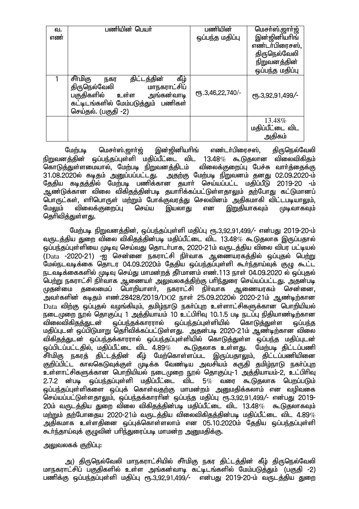| ഖ.  | பணியின் பெயர்                                                                                                                                                        | பணியின்           | மெசா்ஸ்.ஜாா்ஜ்                      |
|-----|----------------------------------------------------------------------------------------------------------------------------------------------------------------------|-------------------|-------------------------------------|
| எண் |                                                                                                                                                                      | ஒப்பந்த மதிப்பு   | இன்ஜினியரிங்                        |
|     |                                                                                                                                                                      |                   | எண்டர்பிரைசஸ்,                      |
|     |                                                                                                                                                                      |                   | திருநெல்வேலி                        |
|     |                                                                                                                                                                      |                   | நிறுவனத்தின்                        |
|     |                                                                                                                                                                      |                   | ஒப்பந்த மதிப்பு                     |
|     | கீழ்<br>சீர்மிகு<br>திட்டத்தின்<br>நகர<br>மாநகராட்சிப்<br>திருநெல்வேலி<br>பகுதிகளில் உள்ள<br>அங்கன்வாடி<br>கட்டிடங்களில் மேம்படுத்தும் பணிகள்<br>செய்தல். (பகுதி -2) | СПБ.3,46,22,740/- | СПБ.3,92,91,499/-                   |
|     |                                                                                                                                                                      |                   | 13.48%<br>மதிப்பீட்டை விட<br>அதிகம் |

மேற்படி மெசா்ஸ்.ஜாா்ஜ் இன்ஜினியாிங் எண்டா்பிரைசஸ், கிருநெல்வேலி நிறுவனத்தின் ஒப்பந்தப்புள்ளி மதிப்பீட்டை விட 13.48*%* கூடுதலான விலைவிகிதம்<br>கொடுக்துள்ளமையால், மேற்படி நிறுவனத்திடம் விலைக்குறைப்பு பேச்சு வார்த்தைக்கு கொடுத்துள்ளமையால், மேற்படி நிறுவனத்திடம் 31.08.2020ல் கடிதம் அனுப்பப்பட்டது. அதற்கு மேற்படி நிறுவனம் தனது 02.09.2020-ம் தேதிய கடிதத்தில் மேற்படி பணிக்கான தயாா் செய்யப்பட்ட மதிப்பீடு 2019-20 -ம் ஆண்டுக்கான விலை விகிதத்தின்படி தயாரிக்கப்பட்டுள்ளதாலும் தற்போது கட்டுமானப் .<br>பொருட்கள், எரிபொருள் மற்றும் போக்குவரத்து செலவினம் அதிகமாகி விட்டபடியாலும், மேலும் விலைக்குறைப்பு செய்ய இயலாது என <u>இறு</u>தியாகவும் முடிவாகவும் கொிவிக்குள்ளது.

மேற்படி நிறுவனத்தின், ஒப்பந்தப்புள்ளி மதிப்பு ரூ.3,92,91,499/- என்பது 2019-20-ம் வருடத்திய துறை விலை விகிதத்தின்படி மதிப்பீட்டை விட 13.48 $\%$  கூடுதலாக இருப்பதால் ஒப்பந்தப்புள்ளியை முடிவு செய்வது தொடர்பாக, 2020-21ம் வருடத்திய விலை விபர பட்டியல் ,<br>(Data -2020-21) -ഇ சென்னை நகராட்சி நிர்வாக ஆணையரகக்கில் ஒப்புகல் பெற்று மேல்நடவடிக்கை தொடர 04.09.2020ம் கேகிய ஓப்பந்தப்புள்ளி கூர்ந்தாய்வுக் குமு கூட்ட நடவடிக்கைகளில் முடிவு செய்து மாமன்றத் தீர்மானம் எண்.113 நாள் 04.09.2020 ல் ஒப்புதல் பெற்று நகராட்சி நிா்வாக ஆணையா் அலுவலகத்திற்கு பாிந்துரை செய்யப்பட்டது. அதன்படி<br>முதன்மை தலைமைப் பொறியாளா், நகராட்சி நிா்வாக ஆணையரகம் சென்னை. ்தலைமைப் பொறியாளர், நகராட்சி நிர்வாக அவர்களின் கடிதம் எண்.28428/2019/DO2 நாள் 25.09.2020ல் 2020-21ம் ஆண்டிற்கான  $\rm Data$  விற்கு ஒப்புதல் வழங்கியும், தமிழ்நாடு நகர்ப்புற உள்ளாட்சிகளுக்கான பொறியியல் .நடைமுறை நூல் தொகுப்பு 1 அத்தியாயம் 10 உட்பிரிவு 10.1.5 படி நடப்பு நிதியாண்டிற்கான<br>விலைவிகிதத்துடன் ஒப்பந்தக்காரரால் ஒப்பந்தப்புள்ளியில் கொடுத்துள்ள ஒப்பந்த விலைவிகிதக்குடன் ஒப்பந்தக்காரரால் ஒப்பந்தப்பள்ளியில் கொடுக்குள்ள ஒப்பந்த மதிப்புடன் ஒப்பிடுமாறு தெரிவிக்கப்பட்டுள்ளது. அதன்படி 2020-21ம் ஆண்டிற்கான விலை விக<u>ிதத்த</u>ுடன் ஒப்பந்தக்காரரால் ஒப்பந்தப்புள்ளியில் கொடுத்துள்ள ஒப்பந்த மதிப்புடன்<br>ஒப்பிடப்பட்டகில் மகிப்பீட்டை விட 4.89*% கூ*டுகலாக உள்ளகு. மேற்படி கிட்டப்பணி .<br>கூடுகலாக உள்ளகு, மேற்படி கிட்டப்பணி சீர்மிகு நகரத் திட்டத்தின் கீழ் மேற்கொள்ளப்பட இருப்பதாலும். திட்டப்பணியினை குறிப்பிட்ட காலகெடுவுக்குள் முடிக்க வேண்டிய அவசியம் கருதி தமிழ்நாடு நகா்ப்புற உள்ளாட்சிகளுக்கான பொறியியல் நடைமுறை நூல் தொகுப்பு-1 அத்தியாயம்-2, உட்பிரிவு  $2.7.2$  ன்படி ஒப்பந்தப்புள்ளி மதிப்பீட்டை விட 5 $\%$  வரை கூடுதலாக பெறப்படும் ஒப்பந்தப்புள்ளிகளை ஒப்புக் கொள்வதற்கு மாமன்றம் அனுமதிக்கலாம் என வழிவகை செய்யப்பட்டுள்ளதாலும், ஒப்பந்தக்காராின் ஒப்பந்த மதிப்பு ரூ.3,92,91,499/- என்பது 2019- $20$ ம் வருடத்திய துறை விலை விகிதத்தின்படி மதிப்பீட்டை விட 13.48 $\%$  கூடுதலாகவும்  $\,$ மா்மும் கா்போகைய 2020-21ம் வருடக்கிய விலைவிகிகக்கின்படி மகிப்பீட்டை விட 4.89 $\%$ அதிகமாக உள்ளகினை ஒப்புக்கொள்ளலாம் என 05.10.2020ம் தேகிய ஒப்பந்தப்புள்ளி கூர்ந்தாய்வுக் குழுவின் பரிந்துரைப்படி மாமன்ற அனுமதிக்கு.

#### அலுவலகக் குறிப்பு:

அ) திருநெல்வேலி மாநகராட்சியில் சீா்மிகு நகர திட்டத்தின் கீழ் திருநெல்வேலி மாநகராட்சிப் பகுதிகளில் உள்ள அங்கன்வாடி கட்டிடங்களில் மேம்படுத்தும் (பகுதி -2) பணிக்கு ஒப்பந்தப்புள்ளி மதிப்பு ரூ.3,92,91,499/- என்பது 2019-20-ம் வருடத்திய துறை